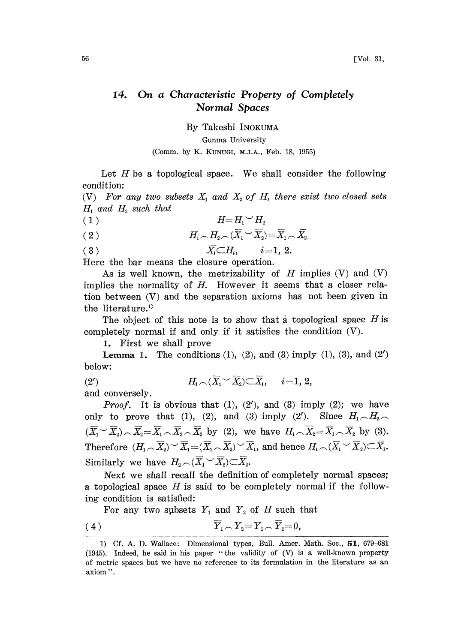## 14. On a Characteristic Property of Completely Normal Spaces

By Takeshi INOKUMA

Gunma University

## (Comm. by K. KUNUGI, M.Z.A., Feb. 18, 1955)

Let  $H$  be a topological space. We shall consider the following condition:

(V) For any two subsets  $X_1$  and  $X_2$  of H, there exist two closed sets  $H_1$  and  $H_2$  such that

- $\begin{array}{cc} H\!\!=\!H_{\!1}\!\smile\! H_{\!2}\ \end{array}\!\!\!\!\!\!\! \begin{array}{c} H_{\!1}\!\sim\!H_{\!2}\ \end{array}\!\!\!\!\!\! \begin{array}{c} H_{\!1}\!\sim\!H_{\!2}\!\sim\!(\overline{X}_{\!1}\!\smile\!\overline{X}_{\!2})\!=\!\overline{X}_{\!1}\!\sim\!\overline{X}_{\!2} \end{array}\!\!\!\!\!\!\!\!\!\! \end{array}$  $(2)$
- (3)  $\overline{X_i} \subset H_i, \quad i=1, 2.$

Here the bar means the closure operation.

As is well known, the metrizability of  $H$  implies  $(V)$  and  $(V)$ implies the normality of H. However it seems that a closer relation between (V) and the separation axioms has not been given in the literature.<sup>1)</sup>

The object of this note is to show that a topological space  $H$  is completely normal if and only if it satisfies the condition (V).

1. First we shall prove

**Lemma 1.** The conditions  $(1)$ ,  $(2)$ , and  $(3)$  imply  $(1)$ ,  $(3)$ , and  $(2')$ below:

(2')  $H_i \cap (\overline{X}_1 \vee \overline{X}_2) \subset \overline{X}_i, \quad i=1, 2,$ 

and conversely.

*Proof.* It is obvious that  $(1)$ ,  $(2')$ , and  $(3)$  imply  $(2)$ ; we have only to prove that (1), (2), and (3) imply (2'). Since  $H_1 \nightharpoonup H_2 \nightharpoonup$  $(\overline{X}_1 \vee \overline{X}_2) \wedge \overline{X}_2 = \overline{X}_1 \wedge \overline{X}_2 \wedge \overline{X}_2$  by (2), we have  $H_1 \wedge \overline{X}_2 = \overline{X}_1 \wedge \overline{X}_2$  by (3). Therefore  $(H_1 \cap \overline{X}_2) \setminus \overline{X}_1 = (\overline{X}_1 \cap \overline{X}_2) \setminus \overline{X}_1$ , and hence  $H_1 \cap (\overline{X}_1 \setminus \overline{X}_2) \subset \overline{X}_1$ . Similarly we have  $H_{2} \sim (\overline{X}_{1} \vee \overline{X}_{2}) \subset \overline{X}_{2}$ .

Next we shall recaII the definition of completely normal spaces; a topological space  $H$  is said to be completely normal if the following condition is satisfied:

For any two subsets  $Y_1$  and  $Y_2$  of H such that

$$
\overline{Y}_1 \cap Y_2 = Y_1 \cap \overline{Y}_2 = 0,
$$

<sup>1)</sup> Cf. A. D. Wallace: Dimensional types, Bull. Amer. Math. Soc., 51, 679-681  $(1945)$ . Indeed, he said in his paper "the validity of  $(V)$  is a well-known property of metric spaces but we have no reference to its iormulation in the literature as an axiom '.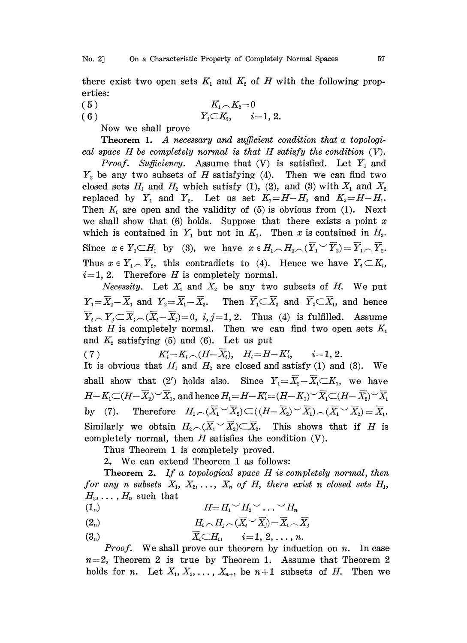there exist two open sets  $K_1$  and  $K_2$  of H with the following properties:

- (5)  $K_{1} \frown K_{2} = 0$
- (6)  $Y_i \subset K_i, \quad i=1, 2.$

Now we shall prove

Theorem 1. A necessary and sufficient condition that a topological space  $H$  be completely normal is that  $H$  satisfy the condition  $(V)$ .

*Proof.* Sufficiency. Assume that  $(V)$  is satisfied. Let  $Y_1$  and  $Y_2$  be any two subsets of H satisfying (4). Then we can find two closed sets  $H_1$  and  $H_2$  which satisfy (1), (2), and (3) with  $X_1$  and  $X_2$ replaced by  $Y_1$  and  $Y_2$ . Let us set  $K_1=H-H_2$  and  $K_2=H-H_1$ . Then  $K_i$  are open and the validity of (5) is obvious from (1). Next we shall show that  $(6)$  holds. Suppose that there exists a point x which is contained in  $Y_1$  but not in  $K_1$ . Then x is contained in  $H_2$ . Since  $x \in Y_1 \subset H_1$  by (3), we have  $x \in H_1 \cap H_2 \cap (\overline{Y}_1 \cup \overline{Y}_2) = \overline{Y}_1 \cap \overline{Y}_2$ . Thus  $x \in Y_1 \cap Y_2$ , this contradicts to (4). Hence we have  $Y_i \subset K_i$ ,  $i=1, 2$ . Therefore H is completely normal.

*Necessity.* Let  $X_1$  and  $X_2$  be any two subsets of H. We put  $Y_1=\overline{X}_2-\overline{X}_1$  and  $Y_2=\overline{X}_1-\overline{X}_2$ . Then  $\overline{Y}_1\subset\overline{X}_2$  and  $\overline{Y}_2\subset\overline{X}_1$ , and hence  $\overline{Y}_i \cap Y_j \subset \overline{X}_i \cap (\overline{X}_i - \overline{X}_j) = 0$ ,  $i, j = 1, 2$ . Thus (4) is fulfilled. Assume that H is completely normal. Then we can find two open sets  $K_1$ and  $K_2$  satisfying (5) and (6). Let us put

(7)  $K_i' = K_i \cap (H - \overline{X_i}), \quad H_i = H - K_i', \qquad i = 1, 2.$ 

It is obvious that  $H_1$  and  $H_2$  are closed and satisfy (1) and (3). We shall show that (2') holds also. Since  $Y_1=\overline{X}_2-\overline{X}_1\subset K_1$ , we have  $H - K_1 \subset (H - \overline{X}_2)^\vee \overline{X}_1$ , and hence  $H_1 = H - K_1' = (H - K_1)^\vee \overline{X}_1 \subset (H - \overline{X}_2)^\vee \overline{X}_1$ by (7). Therefore  $H_1 \cap (\overline{X}_1 \cup \overline{X}_2) \subset ((H - \overline{X}_2) \cup \overline{X}_1) \cap (\overline{X}_1 \cup \overline{X}_2) = \overline{X}_1$ . Similarly we obtain  $H_2 \cap (\overline{X}_1 \cup \overline{X}_2) \subset \overline{X}_2$ . This shows that if H is completely normal, then  $H$  satisfies the condition  $(V)$ .

Thus Theorem 1 is completely proved.

2. We can extend Theorem 1 as follows:

**Theorem 2.** If a topological space  $H$  is completely normal, then for any n subsets  $X_1, X_2, \ldots, X_n$  of H, there exist n closed sets  $H_1$ ,  $H_2, \ldots, H_n$  such that  $(1_n)$ 

- $(H=H_1\smile H_2\smile\ldots\smile H_n$
- (2<sub>n</sub>)  $H_i \cap H_i \cap (\overline{X}_i \vee \overline{X}_i) = \overline{X}_i \cap \overline{X}_i$
- $(\mathbf{3}_{n})$   $\overline{X}_{i} \subset H_{i}, \quad i=1, 2, \ldots, n.$

*Proof.* We shall prove our theorem by induction on  $n$ . In case  $n=2$ , Theorem 2 is true by Theorem 1. Assume that Theorem 2 holds for *n*. Let  $X_1, X_2, \ldots, X_{n+1}$  be  $n+1$  subsets of H. Then we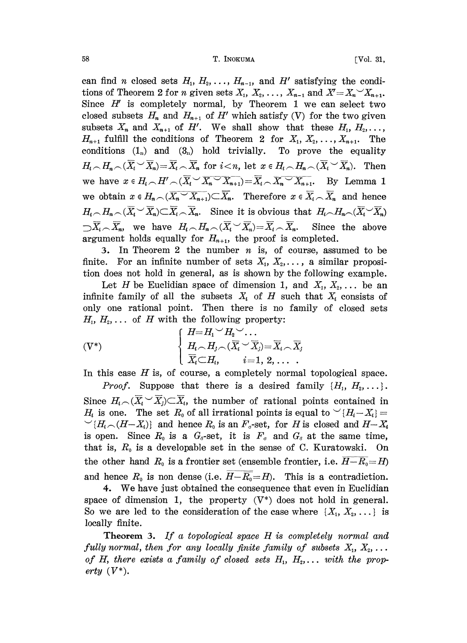58 T. INOKUMA [Vol. 31,

can find *n* closed sets  $H_1, H_2, \ldots, H_{n-1}$ , and H' satisfying the conditions of Theorem 2 for *n* given sets  $X_1, X_2, \ldots, X_{n-1}$  and  $X = X_n X_{n+1}$ . Since  $H'$  is completely normal, by Theorem 1 we can select two closed subsets  $H_n$  and  $H_{n+1}$  of  $H'$  which satisfy (V) for the two given subsets  $X_n$  and  $X_{n+1}$  of  $H'$ . We shall show that these  $H_1, H_2, \ldots$ ,  $H_{n+1}$  fulfill the conditions of Theorem 2 for  $X_1, X_2, \ldots, X_{n+1}$ . The conditions  $(1_n)$  and  $(3_n)$  hold trivially. To prove the equality  $H_i \cap H_{n} \cap (\overline{X}_i \cup \overline{X}_n) = \overline{X}_i \cap \overline{X}_n$  for  $i < n$ , let  $x \in H_i \cap H_{n} \cap (\overline{X}_i \cup \overline{X}_n)$ . Then we have  $x \in H_i \setminus H' \setminus (\overline{X}_i \setminus \overline{X}_n \setminus \overline{X}_{n+1}) = \overline{X}_i \setminus \overline{X}_n \setminus \overline{X}_{n+1}$ . By Lemma 1 we obtain  $x \in H_n\cap(\overline{X_n \setminus X_{n+1}}) \subset \overline{X_n}$ . Therefore  $x \in \overline{X_n} \cap \overline{X_n}$  and hence  $H_i \n\sim H_n \n\sim (\overline{X}_i \n\sim \overline{X}_n) \n\subset \overline{X}_i \n\sim \overline{X}_n$ . Since it is obvious that  $H_i \n\sim H_n \n\sim (\overline{X}_i \n\sim \overline{X}_n)$  $\sum \overline{X}_i \setminus \overline{X}_n$ , we have  $H_i \setminus H_n \setminus (\overline{X}_i \setminus \overline{X}_n) = \overline{X}_i \setminus \overline{X}_n$ . Since the above argument holds equally for  $H_{n+1}$ , the proof is completed.

3. In Theorem 2 the number  $n$  is, of course, assumed to be finite. For an infinite number of sets  $X_1, X_2, \ldots$ , a similar proposition does not hold in general, as is shown by the following example.

Let H be Euclidian space of dimension 1, and  $X_1, X_2, \ldots$  be an infinite family of all the subsets  $X_i$  of H such that  $X_i$  consists of only one rational point. Then there is no family of closed sets  $H_1, H_2, \ldots$  of H with the following property:

$$
(V^*)\qquad\qquad\left\{\begin{array}{l}H\!\!=\!H_1\!\smile\! H_2\!\smile\!\ldots\,\\ H_i\!\smallfrown\! H_j\!\smallfrown\! (\overline{X}_i\!\smile\!\overline{X}_j)\!\!=\!\overline{X}_i\!\smallfrown\!\overline{X}_j\\ \overline{X}_i\!\subset\! H_i,\qquad i\!=\!1,\,2,\,\ldots\enspace. \end{array}\right.
$$

In this case  $H$  is, of course, a completely normal topological space.

*Proof.* Suppose that there is a desired family  $\{H_1, H_2, \ldots\}$ . Since  $H_i \sim (\overline{X}_i \cup \overline{X}_i) \subset \overline{X}_i$ , the number of rational points contained in  $H_i$  is one. The set  $R_0$  of all irrational points is equal to  $\vee (H_i - X_i) =$  $\cong$   $\{H_i \cap (H - X_i)\}$  and hence  $R_0$  is an  $F_{\sigma}$ -set, for H is closed and  $H - X_i$ is open. Since  $R_0$  is a  $G_{\delta}$ -set, it is  $F_{\sigma}$  and  $G_{\delta}$  at the same time, that is,  $R_0$  is a developable set in the sense of C. Kuratowski. On that is,  $R_0$  is a developable set in the sense of C. Kuratowski. the other hand  $R_0$  is a frontier set (ensemble frontier, i.e.  $H-R_0=H$ ) and hence  $R_0$  is non dense (i.e.  $H-\overline{R_0}=H$ ). This is a contradiction.

4. We have just obtained the consequence that even in Euclidian space of dimension 1, the property  $(V^*)$  does not hold in general. So we are led to the consideration of the case where  $\{X_1, X_2, \ldots\}$  is locally finite.

**Theorem 3.** If a topological space  $H$  is completely normal and fully normal, then for any locally finite family of subsets  $X_1, X_2, \ldots$ of H, there exists a family of closed sets  $H_1, H_2, \ldots$  with the property  $(V^*)$ .